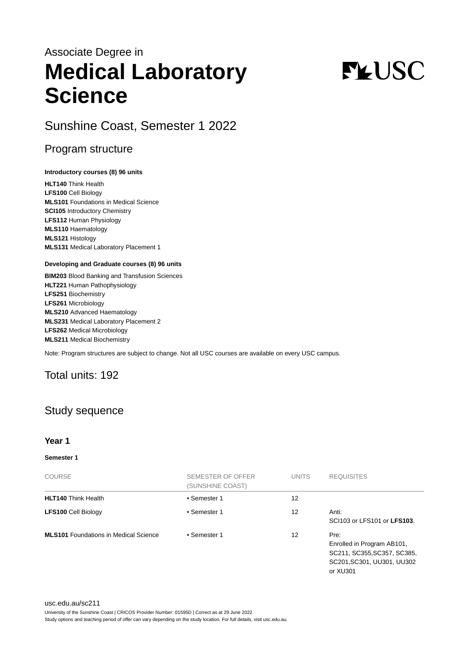## Associate Degree in **Medical Laboratory Science**

# **FLUSC**

Sunshine Coast, Semester 1 2022

## Program structure

#### **Introductory courses (8) 96 units**

**HLT140** Think Health **LFS100** Cell Biology **MLS101** Foundations in Medical Science **SCI105** Introductory Chemistry **LFS112** Human Physiology **MLS110** Haematology **MLS121** Histology **MLS131** Medical Laboratory Placement 1

#### **Developing and Graduate courses (8) 96 units**

**BIM203** Blood Banking and Transfusion Sciences **HLT221** Human Pathophysiology **LFS251** Biochemistry **LFS261** Microbiology **MLS210** Advanced Haematology **MLS231** Medical Laboratory Placement 2 **LFS262** Medical Microbiology **MLS211** Medical Biochemistry

Note: Program structures are subject to change. Not all USC courses are available on every USC campus.

## Total units: 192

## Study sequence

#### **Year 1**

#### **Semester 1**

| <b>COURSE</b>                                | SEMESTER OF OFFER<br>(SUNSHINE COAST) | <b>UNITS</b> | <b>REQUISITES</b>                                                                                           |
|----------------------------------------------|---------------------------------------|--------------|-------------------------------------------------------------------------------------------------------------|
| <b>HLT140 Think Health</b>                   | • Semester 1                          | 12           |                                                                                                             |
| <b>LFS100 Cell Biology</b>                   | • Semester 1                          | 12           | Anti:<br>SCI103 or LFS101 or LFS103.                                                                        |
| <b>MLS101</b> Foundations in Medical Science | • Semester 1                          | 12           | Pre:<br>Enrolled in Program AB101,<br>SC211, SC355, SC357, SC385,<br>SC201, SC301, UU301, UU302<br>or XU301 |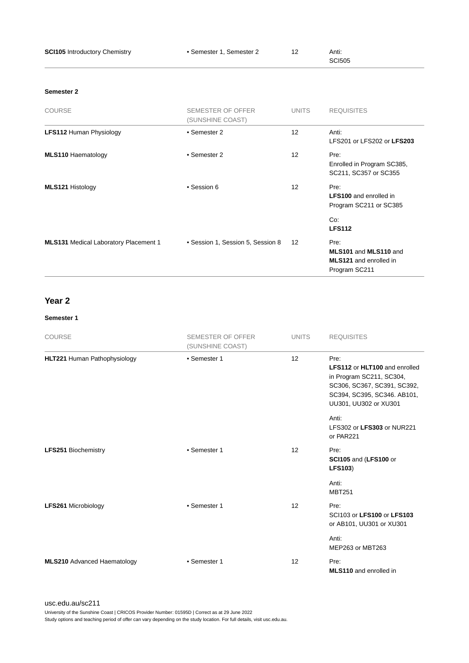| <b>SCI105</b> Introductory Chemistry         | • Semester 1, Semester 2                     | 12           | Anti:<br><b>SCI505</b>                                                          |
|----------------------------------------------|----------------------------------------------|--------------|---------------------------------------------------------------------------------|
| Semester 2                                   |                                              |              |                                                                                 |
| <b>COURSE</b>                                | <b>SEMESTER OF OFFER</b><br>(SUNSHINE COAST) | <b>UNITS</b> | <b>REQUISITES</b>                                                               |
| <b>LFS112 Human Physiology</b>               | • Semester 2                                 | 12           | Anti:<br>LFS201 or LFS202 or LFS203                                             |
| <b>MLS110 Haematology</b>                    | • Semester 2                                 | 12           | Pre:<br>Enrolled in Program SC385,<br>SC211, SC357 or SC355                     |
| <b>MLS121 Histology</b>                      | • Session 6                                  | 12           | Pre:<br><b>LFS100</b> and enrolled in<br>Program SC211 or SC385                 |
|                                              |                                              |              | Co:<br><b>LFS112</b>                                                            |
| <b>MLS131</b> Medical Laboratory Placement 1 | • Session 1, Session 5, Session 8            | 12           | Pre:<br>MLS101 and MLS110 and<br><b>MLS121</b> and enrolled in<br>Program SC211 |

### **Year 2**

#### **Semester 1**

| <b>COURSE</b>                      | <b>SEMESTER OF OFFER</b><br>(SUNSHINE COAST) | <b>UNITS</b> | <b>REQUISITES</b>                                                                                                                                               |
|------------------------------------|----------------------------------------------|--------------|-----------------------------------------------------------------------------------------------------------------------------------------------------------------|
| HLT221 Human Pathophysiology       | • Semester 1                                 | 12           | Pre:<br><b>LFS112 or HLT100 and enrolled</b><br>in Program SC211, SC304,<br>SC306, SC367, SC391, SC392,<br>SC394, SC395, SC346. AB101,<br>UU301, UU302 or XU301 |
|                                    |                                              |              | Anti:<br>LFS302 or LFS303 or NUR221<br>or PAR221                                                                                                                |
| <b>LFS251 Biochemistry</b>         | • Semester 1                                 | 12           | Pre:<br>SCI105 and (LFS100 or<br><b>LFS103)</b>                                                                                                                 |
|                                    |                                              |              | Anti:<br><b>MBT251</b>                                                                                                                                          |
| <b>LFS261 Microbiology</b>         | • Semester 1                                 | 12           | Pre:<br>SCI103 or LFS100 or LFS103<br>or AB101, UU301 or XU301                                                                                                  |
|                                    |                                              |              | Anti:<br>MEP263 or MBT263                                                                                                                                       |
| <b>MLS210</b> Advanced Haematology | • Semester 1                                 | 12           | Pre:<br><b>MLS110</b> and enrolled in                                                                                                                           |

[usc.edu.au/sc211](https://www.usc.edu.au/sc211) University of the Sunshine Coast | CRICOS Provider Number: 01595D | Correct as at 29 June 2022 Study options and teaching period of offer can vary depending on the study location. For full details, visit usc.edu.au.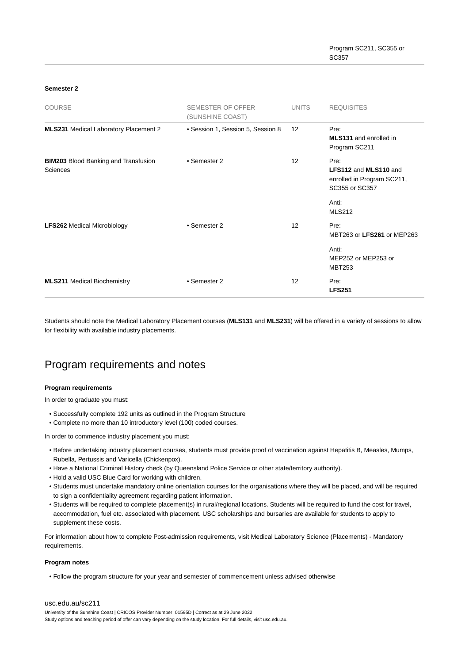#### **Semester 2**

| <b>COURSE</b>                                           | SEMESTER OF OFFER<br>(SUNSHINE COAST) | <b>UNITS</b>      | <b>REQUISITES</b>                                                                    |
|---------------------------------------------------------|---------------------------------------|-------------------|--------------------------------------------------------------------------------------|
| <b>MLS231</b> Medical Laboratory Placement 2            | • Session 1, Session 5, Session 8     | $12 \overline{ }$ | Pre:<br><b>MLS131</b> and enrolled in<br>Program SC211                               |
| <b>BIM203</b> Blood Banking and Transfusion<br>Sciences | • Semester 2                          | 12                | Pre:<br><b>LFS112 and MLS110 and</b><br>enrolled in Program SC211,<br>SC355 or SC357 |
|                                                         |                                       |                   | Anti:<br><b>MLS212</b>                                                               |
| <b>LFS262 Medical Microbiology</b>                      | • Semester 2                          | 12                | Pre:<br>MBT263 or LFS261 or MEP263                                                   |
|                                                         |                                       |                   | Anti:<br>MEP252 or MEP253 or<br><b>MBT253</b>                                        |
| <b>MLS211 Medical Biochemistry</b>                      | • Semester 2                          | $12 \overline{ }$ | Pre:<br><b>LFS251</b>                                                                |

Students should note the Medical Laboratory Placement courses (**MLS131** and **MLS231**) will be offered in a variety of sessions to allow for flexibility with available industry placements.

## Program requirements and notes

#### **Program requirements**

In order to graduate you must:

- Successfully complete 192 units as outlined in the Program Structure
- Complete no more than 10 introductory level (100) coded courses.

In order to commence industry placement you must:

- Before undertaking industry placement courses, students must provide proof of vaccination against Hepatitis B, Measles, Mumps, Rubella, Pertussis and Varicella (Chickenpox).
- Have a National Criminal History check (by Queensland Police Service or other state/territory authority).
- Hold a valid USC Blue Card for working with children.
- Students must undertake mandatory online orientation courses for the organisations where they will be placed, and will be required to sign a confidentiality agreement regarding patient information.
- Students will be required to complete placement(s) in rural/regional locations. Students will be required to fund the cost for travel, accommodation, fuel etc. associated with placement. USC scholarships and bursaries are available for students to apply to supplement these costs.

For information about how to complete Post-admission requirements, visit Medical Laboratory Science (Placements) - Mandatory requirements.

#### **Program notes**

• Follow the program structure for your year and semester of commencement unless advised otherwise

#### [usc.edu.au/sc211](https://www.usc.edu.au/sc211)

University of the Sunshine Coast | CRICOS Provider Number: 01595D | Correct as at 29 June 2022 Study options and teaching period of offer can vary depending on the study location. For full details, visit usc.edu.au.